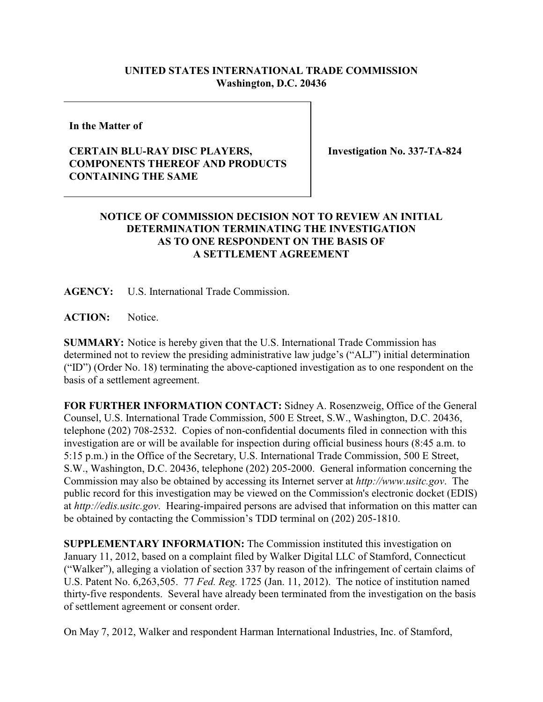## **UNITED STATES INTERNATIONAL TRADE COMMISSION Washington, D.C. 20436**

**In the Matter of**

## **CERTAIN BLU-RAY DISC PLAYERS, COMPONENTS THEREOF AND PRODUCTS CONTAINING THE SAME**

**Investigation No. 337-TA-824**

## **NOTICE OF COMMISSION DECISION NOT TO REVIEW AN INITIAL DETERMINATION TERMINATING THE INVESTIGATION AS TO ONE RESPONDENT ON THE BASIS OF A SETTLEMENT AGREEMENT**

**AGENCY:** U.S. International Trade Commission.

**ACTION:** Notice.

**SUMMARY:** Notice is hereby given that the U.S. International Trade Commission has determined not to review the presiding administrative law judge's ("ALJ") initial determination ("ID") (Order No. 18) terminating the above-captioned investigation as to one respondent on the basis of a settlement agreement.

**FOR FURTHER INFORMATION CONTACT:** Sidney A. Rosenzweig, Office of the General Counsel, U.S. International Trade Commission, 500 E Street, S.W., Washington, D.C. 20436, telephone (202) 708-2532. Copies of non-confidential documents filed in connection with this investigation are or will be available for inspection during official business hours (8:45 a.m. to 5:15 p.m.) in the Office of the Secretary, U.S. International Trade Commission, 500 E Street, S.W., Washington, D.C. 20436, telephone (202) 205-2000. General information concerning the Commission may also be obtained by accessing its Internet server at *http://www.usitc.gov*. The public record for this investigation may be viewed on the Commission's electronic docket (EDIS) at *http://edis.usitc.gov*. Hearing-impaired persons are advised that information on this matter can be obtained by contacting the Commission's TDD terminal on (202) 205-1810.

**SUPPLEMENTARY INFORMATION:** The Commission instituted this investigation on January 11, 2012, based on a complaint filed by Walker Digital LLC of Stamford, Connecticut ("Walker"), alleging a violation of section 337 by reason of the infringement of certain claims of U.S. Patent No. 6,263,505. 77 *Fed. Reg.* 1725 (Jan. 11, 2012). The notice of institution named thirty-five respondents. Several have already been terminated from the investigation on the basis of settlement agreement or consent order.

On May 7, 2012, Walker and respondent Harman International Industries, Inc. of Stamford,